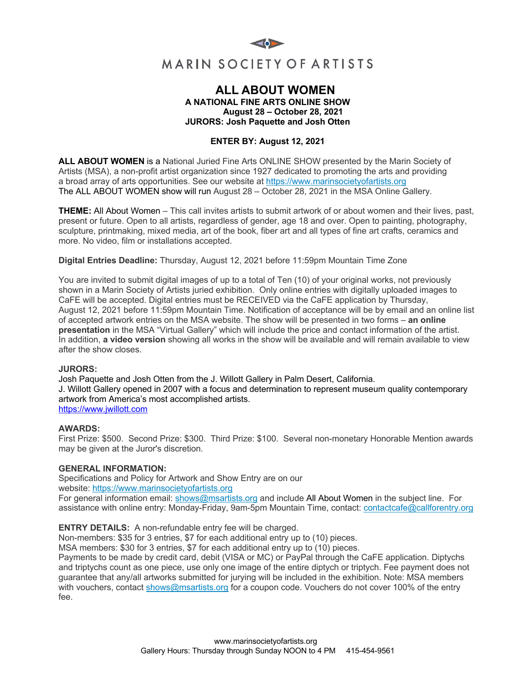

# **ALL ABOUT WOMEN A NATIONAL FINE ARTS ONLINE SHOW August 28 – October 28, 2021 JURORS: Josh Paquette and Josh Otten**

# **ENTER BY: August 12, 2021**

**ALL ABOUT WOMEN** is a National Juried Fine Arts ONLINE SHOW presented by the Marin Society of Artists (MSA), a non-profit artist organization since 1927 dedicated to promoting the arts and providing a broad array of arts opportunities. See our website at https://www.marinsocietyofartists.org The ALL ABOUT WOMEN show will run August 28 – October 28, 2021 in the MSA Online Gallery.

**THEME:** All About Women – This call invites artists to submit artwork of or about women and their lives, past, present or future. Open to all artists, regardless of gender, age 18 and over. Open to painting, photography, sculpture, printmaking, mixed media, art of the book, fiber art and all types of fine art crafts, ceramics and more. No video, film or installations accepted.

**Digital Entries Deadline:** Thursday, August 12, 2021 before 11:59pm Mountain Time Zone

You are invited to submit digital images of up to a total of Ten (10) of your original works, not previously shown in a Marin Society of Artists juried exhibition. Only online entries with digitally uploaded images to CaFE will be accepted. Digital entries must be RECEIVED via the CaFE application by Thursday, August 12, 2021 before 11:59pm Mountain Time. Notification of acceptance will be by email and an online list of accepted artwork entries on the MSA website. The show will be presented in two forms – **an online presentation** in the MSA "Virtual Gallery" which will include the price and contact information of the artist. In addition, **a video version** showing all works in the show will be available and will remain available to view after the show closes.

### **JURORS:**

Josh Paquette and Josh Otten from the J. Willott Gallery in Palm Desert, California. J. Willott Gallery opened in 2007 with a focus and determination to represent museum quality contemporary artwork from America's most accomplished artists. https://www.jwillott.com

### **AWARDS:**

First Prize: \$500. Second Prize: \$300. Third Prize: \$100. Several non-monetary Honorable Mention awards may be given at the Juror's discretion.

### **GENERAL INFORMATION:**

Specifications and Policy for Artwork and Show Entry are on our website: https://www.marinsocietyofartists.org

For general information email: shows@msartists.org and include All About Women in the subject line. For assistance with online entry: Monday-Friday, 9am-5pm Mountain Time, contact: contactcafe@callforentry.org

**ENTRY DETAILS:** A non-refundable entry fee will be charged.

Non-members: \$35 for 3 entries, \$7 for each additional entry up to (10) pieces.

MSA members: \$30 for 3 entries, \$7 for each additional entry up to (10) pieces.

Payments to be made by credit card, debit (VISA or MC) or PayPal through the CaFE application. Diptychs and triptychs count as one piece, use only one image of the entire diptych or triptych. Fee payment does not guarantee that any/all artworks submitted for jurying will be included in the exhibition. Note: MSA members with vouchers, contact shows@msartists.org for a coupon code. Vouchers do not cover 100% of the entry fee.